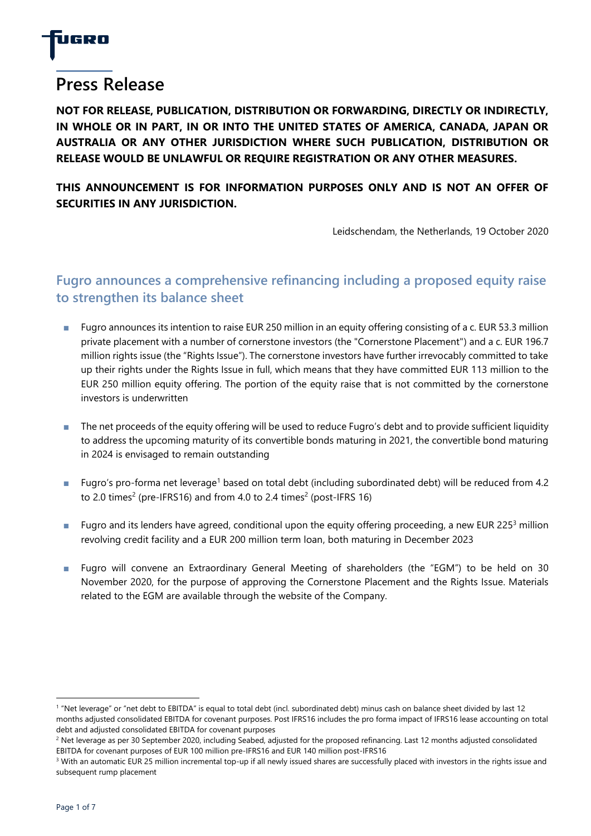

# **Press Release**

**NOT FOR RELEASE, PUBLICATION, DISTRIBUTION OR FORWARDING, DIRECTLY OR INDIRECTLY, IN WHOLE OR IN PART, IN OR INTO THE UNITED STATES OF AMERICA, CANADA, JAPAN OR AUSTRALIA OR ANY OTHER JURISDICTION WHERE SUCH PUBLICATION, DISTRIBUTION OR RELEASE WOULD BE UNLAWFUL OR REQUIRE REGISTRATION OR ANY OTHER MEASURES.**

## **THIS ANNOUNCEMENT IS FOR INFORMATION PURPOSES ONLY AND IS NOT AN OFFER OF SECURITIES IN ANY JURISDICTION.**

Leidschendam, the Netherlands, 19 October 2020

# **Fugro announces a comprehensive refinancing including a proposed equity raise to strengthen its balance sheet**

- Fugro announces its intention to raise EUR 250 million in an equity offering consisting of a c. EUR 53.3 million private placement with a number of cornerstone investors (the "Cornerstone Placement") and a c. EUR 196.7 million rights issue (the "Rights Issue"). The cornerstone investors have further irrevocably committed to take up their rights under the Rights Issue in full, which means that they have committed EUR 113 million to the EUR 250 million equity offering. The portion of the equity raise that is not committed by the cornerstone investors is underwritten
- The net proceeds of the equity offering will be used to reduce Fugro's debt and to provide sufficient liquidity to address the upcoming maturity of its convertible bonds maturing in 2021, the convertible bond maturing in 2024 is envisaged to remain outstanding
- Fugro's pro-forma net leverage<sup>1</sup> based on total debt (including subordinated debt) will be reduced from 4.2 to 2.0 times<sup>2</sup> (pre-IFRS16) and from 4.0 to 2.4 times<sup>2</sup> (post-IFRS 16)
- **■** Fugro and its lenders have agreed, conditional upon the equity offering proceeding, a new EUR 225<sup>3</sup> million revolving credit facility and a EUR 200 million term loan, both maturing in December 2023
- Fugro will convene an Extraordinary General Meeting of shareholders (the "EGM") to be held on 30 November 2020, for the purpose of approving the Cornerstone Placement and the Rights Issue. Materials related to the EGM are available through the website of the Company.

<sup>&</sup>lt;sup>1</sup> "Net leverage" or "net debt to EBITDA" is equal to total debt (incl. subordinated debt) minus cash on balance sheet divided by last 12 months adjusted consolidated EBITDA for covenant purposes. Post IFRS16 includes the pro forma impact of IFRS16 lease accounting on total debt and adjusted consolidated EBITDA for covenant purposes

<sup>&</sup>lt;sup>2</sup> Net leverage as per 30 September 2020, including Seabed, adjusted for the proposed refinancing. Last 12 months adjusted consolidated EBITDA for covenant purposes of EUR 100 million pre-IFRS16 and EUR 140 million post-IFRS16

<sup>&</sup>lt;sup>3</sup> With an automatic EUR 25 million incremental top-up if all newly issued shares are successfully placed with investors in the rights issue and subsequent rump placement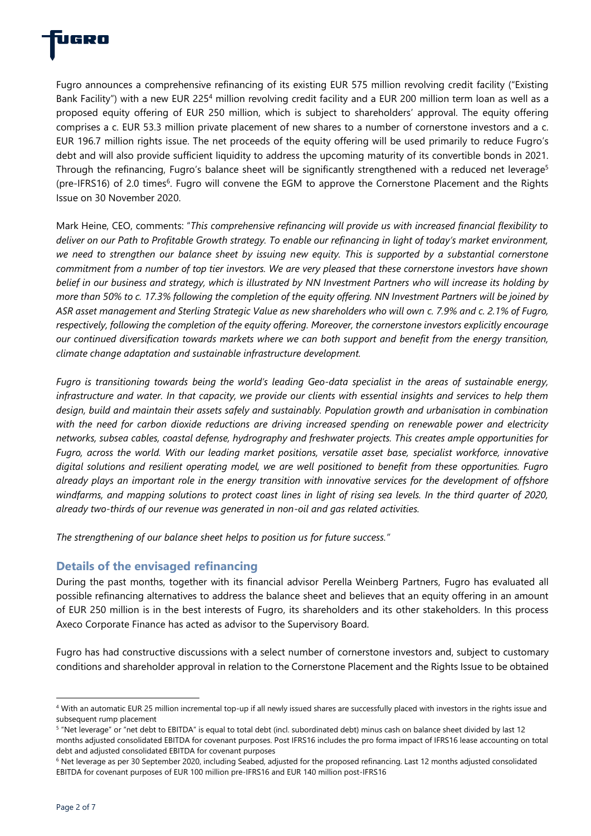

Fugro announces a comprehensive refinancing of its existing EUR 575 million revolving credit facility ("Existing Bank Facility") with a new EUR 225<sup>4</sup> million revolving credit facility and a EUR 200 million term loan as well as a proposed equity offering of EUR 250 million, which is subject to shareholders' approval. The equity offering comprises a c. EUR 53.3 million private placement of new shares to a number of cornerstone investors and a c. EUR 196.7 million rights issue. The net proceeds of the equity offering will be used primarily to reduce Fugro's debt and will also provide sufficient liquidity to address the upcoming maturity of its convertible bonds in 2021. Through the refinancing, Fugro's balance sheet will be significantly strengthened with a reduced net leverage<sup>5</sup> (pre-IFRS16) of 2.0 times<sup>6</sup>. Fugro will convene the EGM to approve the Cornerstone Placement and the Rights Issue on 30 November 2020.

Mark Heine, CEO, comments: "*This comprehensive refinancing will provide us with increased financial flexibility to deliver on our Path to Profitable Growth strategy. To enable our refinancing in light of today's market environment, we need to strengthen our balance sheet by issuing new equity. This is supported by a substantial cornerstone commitment from a number of top tier investors. We are very pleased that these cornerstone investors have shown belief in our business and strategy, which is illustrated by NN Investment Partners who will increase its holding by more than 50% to c. 17.3% following the completion of the equity offering. NN Investment Partners will be joined by ASR asset management and Sterling Strategic Value as new shareholders who will own c. 7.9% and c. 2.1% of Fugro, respectively, following the completion of the equity offering. Moreover, the cornerstone investors explicitly encourage our continued diversification towards markets where we can both support and benefit from the energy transition, climate change adaptation and sustainable infrastructure development.* 

*Fugro is transitioning towards being the world's leading Geo-data specialist in the areas of sustainable energy, infrastructure and water. In that capacity, we provide our clients with essential insights and services to help them*  design, build and maintain their assets safely and sustainably. Population growth and urbanisation in combination *with the need for carbon dioxide reductions are driving increased spending on renewable power and electricity networks, subsea cables, coastal defense, hydrography and freshwater projects. This creates ample opportunities for Fugro, across the world. With our leading market positions, versatile asset base, specialist workforce, innovative digital solutions and resilient operating model, we are well positioned to benefit from these opportunities. Fugro already plays an important role in the energy transition with innovative services for the development of offshore*  windfarms, and mapping solutions to protect coast lines in light of rising sea levels. In the third quarter of 2020, *already two-thirds of our revenue was generated in non-oil and gas related activities.*

*The strengthening of our balance sheet helps to position us for future success."*

## **Details of the envisaged refinancing**

During the past months, together with its financial advisor Perella Weinberg Partners, Fugro has evaluated all possible refinancing alternatives to address the balance sheet and believes that an equity offering in an amount of EUR 250 million is in the best interests of Fugro, its shareholders and its other stakeholders. In this process Axeco Corporate Finance has acted as advisor to the Supervisory Board.

Fugro has had constructive discussions with a select number of cornerstone investors and, subject to customary conditions and shareholder approval in relation to the Cornerstone Placement and the Rights Issue to be obtained

<sup>4</sup> With an automatic EUR 25 million incremental top-up if all newly issued shares are successfully placed with investors in the rights issue and subsequent rump placement

<sup>&</sup>lt;sup>5</sup> "Net leverage" or "net debt to EBITDA" is equal to total debt (incl. subordinated debt) minus cash on balance sheet divided by last 12 months adjusted consolidated EBITDA for covenant purposes. Post IFRS16 includes the pro forma impact of IFRS16 lease accounting on total debt and adjusted consolidated EBITDA for covenant purposes

<sup>6</sup> Net leverage as per 30 September 2020, including Seabed, adjusted for the proposed refinancing. Last 12 months adjusted consolidated EBITDA for covenant purposes of EUR 100 million pre-IFRS16 and EUR 140 million post-IFRS16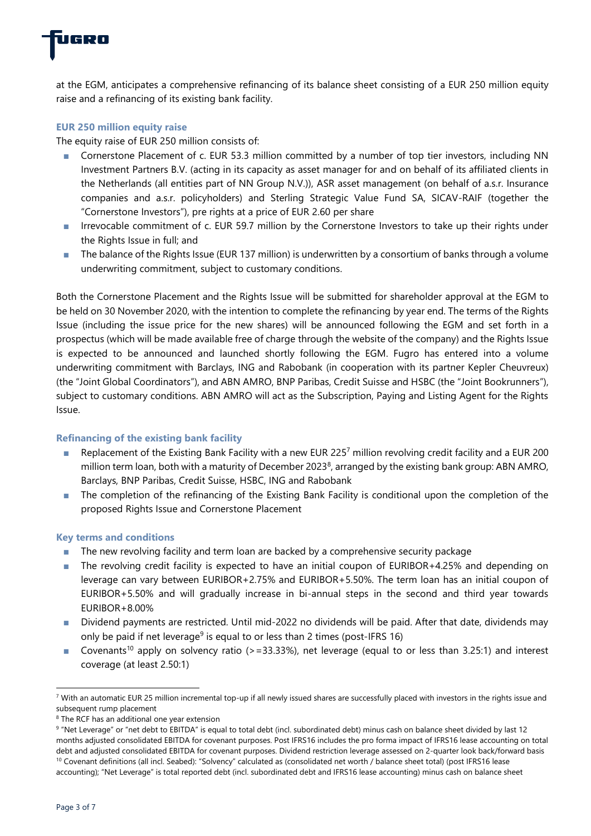

at the EGM, anticipates a comprehensive refinancing of its balance sheet consisting of a EUR 250 million equity raise and a refinancing of its existing bank facility.

#### **EUR 250 million equity raise**

The equity raise of EUR 250 million consists of:

- Cornerstone Placement of c. EUR 53.3 million committed by a number of top tier investors, including NN Investment Partners B.V. (acting in its capacity as asset manager for and on behalf of its affiliated clients in the Netherlands (all entities part of NN Group N.V.)), ASR asset management (on behalf of a.s.r. Insurance companies and a.s.r. policyholders) and Sterling Strategic Value Fund SA, SICAV-RAIF (together the "Cornerstone Investors"), pre rights at a price of EUR 2.60 per share
- Irrevocable commitment of c. EUR 59.7 million by the Cornerstone Investors to take up their rights under the Rights Issue in full; and
- The balance of the Rights Issue (EUR 137 million) is underwritten by a consortium of banks through a volume underwriting commitment, subject to customary conditions.

Both the Cornerstone Placement and the Rights Issue will be submitted for shareholder approval at the EGM to be held on 30 November 2020, with the intention to complete the refinancing by year end. The terms of the Rights Issue (including the issue price for the new shares) will be announced following the EGM and set forth in a prospectus (which will be made available free of charge through the website of the company) and the Rights Issue is expected to be announced and launched shortly following the EGM. Fugro has entered into a volume underwriting commitment with Barclays, ING and Rabobank (in cooperation with its partner Kepler Cheuvreux) (the "Joint Global Coordinators"), and ABN AMRO, BNP Paribas, Credit Suisse and HSBC (the "Joint Bookrunners"), subject to customary conditions. ABN AMRO will act as the Subscription, Paying and Listing Agent for the Rights Issue.

#### **Refinancing of the existing bank facility**

- Replacement of the Existing Bank Facility with a new EUR 225<sup>7</sup> million revolving credit facility and a EUR 200 million term loan, both with a maturity of December 2023<sup>8</sup>, arranged by the existing bank group: ABN AMRO, Barclays, BNP Paribas, Credit Suisse, HSBC, ING and Rabobank
- The completion of the refinancing of the Existing Bank Facility is conditional upon the completion of the proposed Rights Issue and Cornerstone Placement

#### **Key terms and conditions**

- The new revolving facility and term loan are backed by a comprehensive security package
- The revolving credit facility is expected to have an initial coupon of EURIBOR+4.25% and depending on leverage can vary between EURIBOR+2.75% and EURIBOR+5.50%. The term loan has an initial coupon of EURIBOR+5.50% and will gradually increase in bi-annual steps in the second and third year towards EURIBOR+8.00%
- Dividend payments are restricted. Until mid-2022 no dividends will be paid. After that date, dividends may only be paid if net leverage<sup>9</sup> is equal to or less than 2 times (post-IFRS 16)
- Covenants<sup>10</sup> apply on solvency ratio (>=33.33%), net leverage (equal to or less than 3.25:1) and interest coverage (at least 2.50:1)

<sup>&</sup>lt;sup>7</sup> With an automatic EUR 25 million incremental top-up if all newly issued shares are successfully placed with investors in the rights issue and subsequent rump placement

<sup>8</sup> The RCF has an additional one year extension

<sup>&</sup>lt;sup>9</sup> "Net Leverage" or "net debt to EBITDA" is equal to total debt (incl. subordinated debt) minus cash on balance sheet divided by last 12 months adjusted consolidated EBITDA for covenant purposes. Post IFRS16 includes the pro forma impact of IFRS16 lease accounting on total debt and adjusted consolidated EBITDA for covenant purposes. Dividend restriction leverage assessed on 2-quarter look back/forward basis <sup>10</sup> Covenant definitions (all incl. Seabed): "Solvency" calculated as (consolidated net worth / balance sheet total) (post IFRS16 lease accounting); "Net Leverage" is total reported debt (incl. subordinated debt and IFRS16 lease accounting) minus cash on balance sheet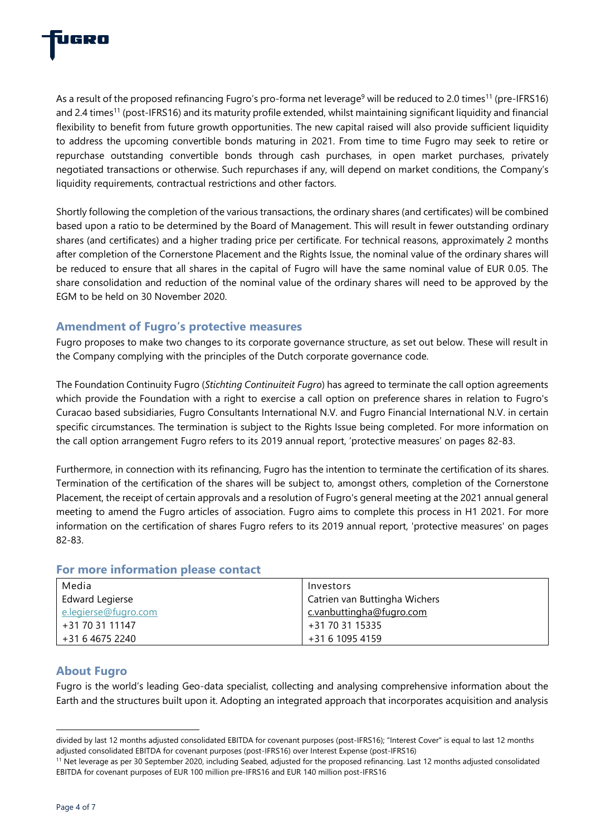

As a result of the proposed refinancing Fugro's pro-forma net leverage<sup>9</sup> will be reduced to 2.0 times<sup>11</sup> (pre-IFRS16) and 2.4 times<sup>11</sup> (post-IFRS16) and its maturity profile extended, whilst maintaining significant liquidity and financial flexibility to benefit from future growth opportunities. The new capital raised will also provide sufficient liquidity to address the upcoming convertible bonds maturing in 2021. From time to time Fugro may seek to retire or repurchase outstanding convertible bonds through cash purchases, in open market purchases, privately negotiated transactions or otherwise. Such repurchases if any, will depend on market conditions, the Company's liquidity requirements, contractual restrictions and other factors.

Shortly following the completion of the various transactions, the ordinary shares (and certificates) will be combined based upon a ratio to be determined by the Board of Management. This will result in fewer outstanding ordinary shares (and certificates) and a higher trading price per certificate. For technical reasons, approximately 2 months after completion of the Cornerstone Placement and the Rights Issue, the nominal value of the ordinary shares will be reduced to ensure that all shares in the capital of Fugro will have the same nominal value of EUR 0.05. The share consolidation and reduction of the nominal value of the ordinary shares will need to be approved by the EGM to be held on 30 November 2020.

## **Amendment of Fugro's protective measures**

Fugro proposes to make two changes to its corporate governance structure, as set out below. These will result in the Company complying with the principles of the Dutch corporate governance code.

The Foundation Continuity Fugro (*Stichting Continuiteit Fugro*) has agreed to terminate the call option agreements which provide the Foundation with a right to exercise a call option on preference shares in relation to Fugro's Curacao based subsidiaries, Fugro Consultants International N.V. and Fugro Financial International N.V. in certain specific circumstances. The termination is subject to the Rights Issue being completed. For more information on the call option arrangement Fugro refers to its 2019 annual report, 'protective measures' on pages 82-83.

Furthermore, in connection with its refinancing, Fugro has the intention to terminate the certification of its shares. Termination of the certification of the shares will be subject to, amongst others, completion of the Cornerstone Placement, the receipt of certain approvals and a resolution of Fugro's general meeting at the 2021 annual general meeting to amend the Fugro articles of association. Fugro aims to complete this process in H1 2021. For more information on the certification of shares Fugro refers to its 2019 annual report, 'protective measures' on pages 82-83.

### **For more information please contact**

| Media                | Investors                     |
|----------------------|-------------------------------|
| Edward Legierse      | Catrien van Buttingha Wichers |
| e.legierse@fugro.com | c.vanbuttingha@fugro.com      |
| +31 70 31 11147      | +31 70 31 15335               |
| +31 6 4675 2240      | +31 6 1095 4159               |

#### **About Fugro**

Fugro is the world's leading Geo-data specialist, collecting and analysing comprehensive information about the Earth and the structures built upon it. Adopting an integrated approach that incorporates acquisition and analysis

divided by last 12 months adjusted consolidated EBITDA for covenant purposes (post-IFRS16); "Interest Cover" is equal to last 12 months adjusted consolidated EBITDA for covenant purposes (post-IFRS16) over Interest Expense (post-IFRS16)

<sup>&</sup>lt;sup>11</sup> Net leverage as per 30 September 2020, including Seabed, adjusted for the proposed refinancing. Last 12 months adjusted consolidated EBITDA for covenant purposes of EUR 100 million pre-IFRS16 and EUR 140 million post-IFRS16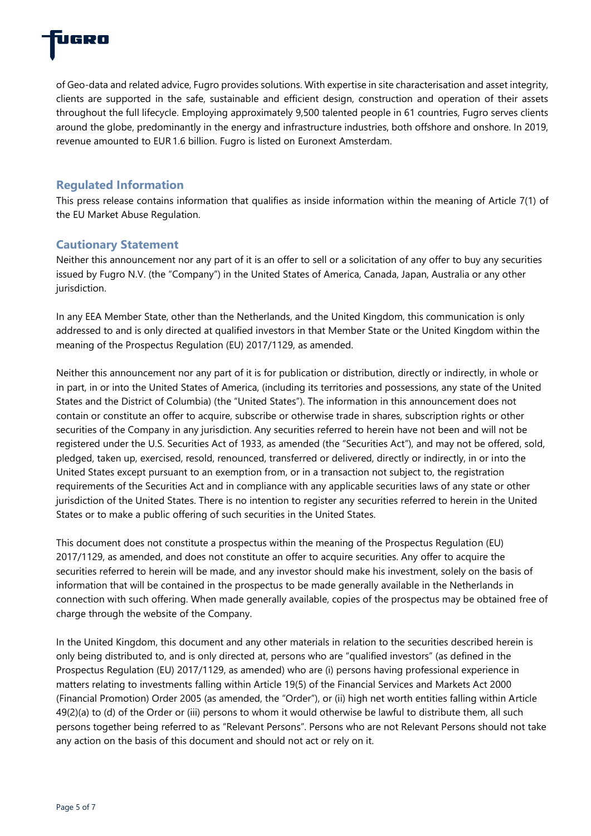

of Geo-data and related advice, Fugro provides solutions. With expertise in site characterisation and asset integrity, clients are supported in the safe, sustainable and efficient design, construction and operation of their assets throughout the full lifecycle. Employing approximately 9,500 talented people in 61 countries, Fugro serves clients around the globe, predominantly in the energy and infrastructure industries, both offshore and onshore. In 2019, revenue amounted to EUR 1.6 billion. Fugro is listed on Euronext Amsterdam.

## **Regulated Information**

This press release contains information that qualifies as inside information within the meaning of Article 7(1) of the EU Market Abuse Regulation.

#### **Cautionary Statement**

Neither this announcement nor any part of it is an offer to sell or a solicitation of any offer to buy any securities issued by Fugro N.V. (the "Company") in the United States of America, Canada, Japan, Australia or any other jurisdiction.

In any EEA Member State, other than the Netherlands, and the United Kingdom, this communication is only addressed to and is only directed at qualified investors in that Member State or the United Kingdom within the meaning of the Prospectus Regulation (EU) 2017/1129, as amended.

Neither this announcement nor any part of it is for publication or distribution, directly or indirectly, in whole or in part, in or into the United States of America, (including its territories and possessions, any state of the United States and the District of Columbia) (the "United States"). The information in this announcement does not contain or constitute an offer to acquire, subscribe or otherwise trade in shares, subscription rights or other securities of the Company in any jurisdiction. Any securities referred to herein have not been and will not be registered under the U.S. Securities Act of 1933, as amended (the "Securities Act"), and may not be offered, sold, pledged, taken up, exercised, resold, renounced, transferred or delivered, directly or indirectly, in or into the United States except pursuant to an exemption from, or in a transaction not subject to, the registration requirements of the Securities Act and in compliance with any applicable securities laws of any state or other jurisdiction of the United States. There is no intention to register any securities referred to herein in the United States or to make a public offering of such securities in the United States.

This document does not constitute a prospectus within the meaning of the Prospectus Regulation (EU) 2017/1129, as amended, and does not constitute an offer to acquire securities. Any offer to acquire the securities referred to herein will be made, and any investor should make his investment, solely on the basis of information that will be contained in the prospectus to be made generally available in the Netherlands in connection with such offering. When made generally available, copies of the prospectus may be obtained free of charge through the website of the Company.

In the United Kingdom, this document and any other materials in relation to the securities described herein is only being distributed to, and is only directed at, persons who are "qualified investors" (as defined in the Prospectus Regulation (EU) 2017/1129, as amended) who are (i) persons having professional experience in matters relating to investments falling within Article 19(5) of the Financial Services and Markets Act 2000 (Financial Promotion) Order 2005 (as amended, the "Order"), or (ii) high net worth entities falling within Article 49(2)(a) to (d) of the Order or (iii) persons to whom it would otherwise be lawful to distribute them, all such persons together being referred to as "Relevant Persons". Persons who are not Relevant Persons should not take any action on the basis of this document and should not act or rely on it.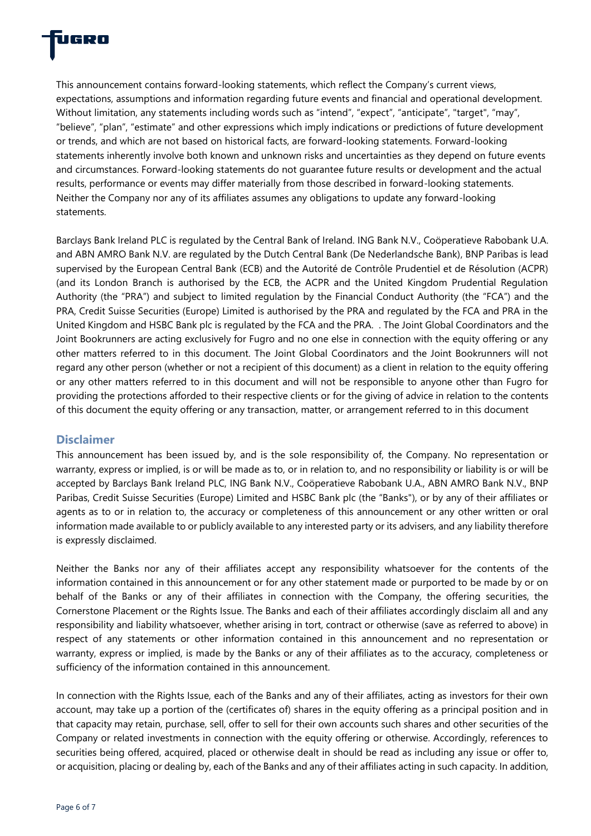

This announcement contains forward-looking statements, which reflect the Company's current views, expectations, assumptions and information regarding future events and financial and operational development. Without limitation, any statements including words such as "intend", "expect", "anticipate", "target", "may", "believe", "plan", "estimate" and other expressions which imply indications or predictions of future development or trends, and which are not based on historical facts, are forward-looking statements. Forward-looking statements inherently involve both known and unknown risks and uncertainties as they depend on future events and circumstances. Forward-looking statements do not guarantee future results or development and the actual results, performance or events may differ materially from those described in forward-looking statements. Neither the Company nor any of its affiliates assumes any obligations to update any forward-looking statements.

Barclays Bank Ireland PLC is regulated by the Central Bank of Ireland. ING Bank N.V., Coöperatieve Rabobank U.A. and ABN AMRO Bank N.V. are regulated by the Dutch Central Bank (De Nederlandsche Bank), BNP Paribas is lead supervised by the European Central Bank (ECB) and the Autorité de Contrôle Prudentiel et de Résolution (ACPR) (and its London Branch is authorised by the ECB, the ACPR and the United Kingdom Prudential Regulation Authority (the "PRA") and subject to limited regulation by the Financial Conduct Authority (the "FCA") and the PRA, Credit Suisse Securities (Europe) Limited is authorised by the PRA and regulated by the FCA and PRA in the United Kingdom and HSBC Bank plc is regulated by the FCA and the PRA. . The Joint Global Coordinators and the Joint Bookrunners are acting exclusively for Fugro and no one else in connection with the equity offering or any other matters referred to in this document. The Joint Global Coordinators and the Joint Bookrunners will not regard any other person (whether or not a recipient of this document) as a client in relation to the equity offering or any other matters referred to in this document and will not be responsible to anyone other than Fugro for providing the protections afforded to their respective clients or for the giving of advice in relation to the contents of this document the equity offering or any transaction, matter, or arrangement referred to in this document

#### **Disclaimer**

This announcement has been issued by, and is the sole responsibility of, the Company. No representation or warranty, express or implied, is or will be made as to, or in relation to, and no responsibility or liability is or will be accepted by Barclays Bank Ireland PLC, ING Bank N.V., Coöperatieve Rabobank U.A., ABN AMRO Bank N.V., BNP Paribas, Credit Suisse Securities (Europe) Limited and HSBC Bank plc (the "Banks"), or by any of their affiliates or agents as to or in relation to, the accuracy or completeness of this announcement or any other written or oral information made available to or publicly available to any interested party or its advisers, and any liability therefore is expressly disclaimed.

Neither the Banks nor any of their affiliates accept any responsibility whatsoever for the contents of the information contained in this announcement or for any other statement made or purported to be made by or on behalf of the Banks or any of their affiliates in connection with the Company, the offering securities, the Cornerstone Placement or the Rights Issue. The Banks and each of their affiliates accordingly disclaim all and any responsibility and liability whatsoever, whether arising in tort, contract or otherwise (save as referred to above) in respect of any statements or other information contained in this announcement and no representation or warranty, express or implied, is made by the Banks or any of their affiliates as to the accuracy, completeness or sufficiency of the information contained in this announcement.

In connection with the Rights Issue, each of the Banks and any of their affiliates, acting as investors for their own account, may take up a portion of the (certificates of) shares in the equity offering as a principal position and in that capacity may retain, purchase, sell, offer to sell for their own accounts such shares and other securities of the Company or related investments in connection with the equity offering or otherwise. Accordingly, references to securities being offered, acquired, placed or otherwise dealt in should be read as including any issue or offer to, or acquisition, placing or dealing by, each of the Banks and any of their affiliates acting in such capacity. In addition,